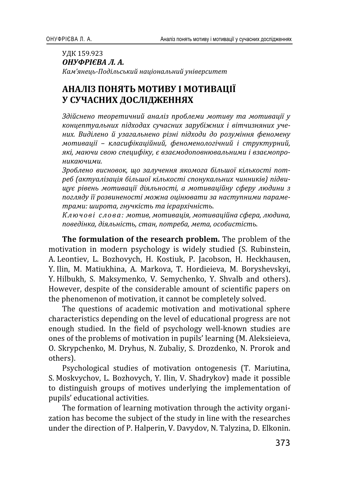## УДК 159.923 *ОНУФРІЄВА Л. А.* Кам'янець-Подільський національний університет

# АНАЛІЗ ПОНЯТЬ МОТИВУ І МОТИВАЦІЇ У СУЧАСНИХ ДОСЛІДЖЕННЯХ

 $3$ дійснено теоретичний аналіз проблеми мотиву та мотивації у концептуальних підходах сучасних зарубіжних і вітчизняних учених. Виділено й узагальнено різні підходи до розуміння феномену  $M$ *отивації – класифікаційний, феноменологічний і структурний,* які, маючи свою специфіку, є взаємодоповнювальними і взаємопро**никаючими.** 

 $3$ роблено висновок, що залучення якомога більшої кількості пот $p$ еб (актуалізація більшої кількості спонукальних чинників) підви-*˜˖˦ ˓˪˅ˈː˟ ˏˑ˕ˋ˅˃˙˪˫ ˇ˪ˢˎ˟ːˑ˔˕˪, ˃ ˏˑ˕ˋ˅˃˙˪ˌː˖ ˔˗ˈ˓˖ ˎˡˇˋːˋ ˊ* погляду її розвиненості можна оцінювати за наступними параме-*˕˓˃ˏˋ: ˛ˋ˓ˑ˕˃, ˆː˖˚ˍ˪˔˕˟ ˕˃ ˪˦˓˃˓˘˪˚ː˪˔˕˟.*

Ключові слова: мотив, мотивація, мотиваційна сфера, людина, *˒ˑ˅ˈˇ˪ːˍ˃, ˇ˪ˢˎ˟ː˪˔˕˟, ˔˕˃ː, ˒ˑ˕˓ˈ˄˃, ˏˈ˕˃, ˑ˔ˑ˄ˋ˔˕˪˔˕˟.*

**The formulation of the research problem.**  motivation in modern psychology is widely studied (S. Rubinstein, A. Leontiev, L. Bozhovych, H. Kostiuk, P. Jacobson, H. Heckhausen, Y. Ilin, M. Matiukhina, A. Markova, T. Hordieieva, M. Boryshevskyi, Y. Hilbukh, S. Maksymenko, V. Semychenko, Y. Shvalb and others). However, despite of the considerable amount of scientific papers on the phenomenon of motivation, it cannot be completely solved.

The questions of academic motivation and motivational sphere characteristics depending on the level of educational progress are not enough studied. In the field of psychology well-known studies are ones of the problems of motivation in pupils' learning (M. Aleksieieva, O. Skrypchenko, M. Dryhus, N. Zubaliy, S. Drozdenko, N. Prorok and others).

Psychological studies of motivation ontogenesis (T. Mariutina, S. Moskvychov, L. Bozhovych, Y. Ilin, V. Shadrykov) made it possible to distinguish groups of motives underlying the implementation of pupils' educational activities.

The formation of learning motivation through the activity organization has become the subject of the study in line with the researches under the direction of P. Halperin, V. Davydov, N. Talyzina, D. Elkonin.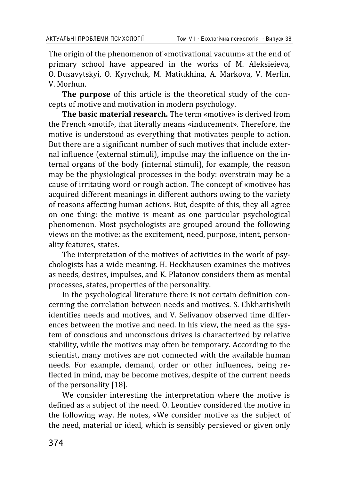The origin of the phenomenon of «motivational vacuum» at the end of primary school have appeared in the works of M. Aleksieieva, O. Dusavytskyi, O. Kyrychuk, M. Matiukhina, A. Markova, V. Merlin, V Morhun

The purpose of this article is the theoretical study of the concepts of motive and motivation in modern psychology.

**The basic material research.** The term «motive» is derived from the French «motif», that literally means «inducement». Therefore, the motive is understood as everything that motivates people to action. But there are a significant number of such motives that include external influence (external stimuli), impulse may the influence on the internal organs of the body (internal stimuli), for example, the reason may be the physiological processes in the body: overstrain may be a cause of irritating word or rough action. The concept of «motive» has acquired different meanings in different authors owing to the variety of reasons affecting human actions. But, despite of this, they all agree on one thing: the motive is meant as one particular psychological phenomenon. Most psychologists are grouped around the following views on the motive: as the excitement, need, purpose, intent, personality features, states.

The interpretation of the motives of activities in the work of psychologists has a wide meaning. H. Heckhausen examines the motives as needs, desires, impulses, and K. Platonov considers them as mental processes, states, properties of the personality.

In the psychological literature there is not certain definition concerning the correlation between needs and motives. S. Chkhartishvili identifies needs and motives, and V. Selivanov observed time differences between the motive and need. In his view, the need as the system of conscious and unconscious drives is characterized by relative stability, while the motives may often be temporary. According to the scientist, many motives are not connected with the available human needs. For example, demand, order or other influences, being reflected in mind, may be become motives, despite of the current needs of the personality [18].

We consider interesting the interpretation where the motive is defined as a subject of the need. O. Leontiev considered the motive in the following way. He notes, «We consider motive as the subject of the need, material or ideal, which is sensibly persieved or given only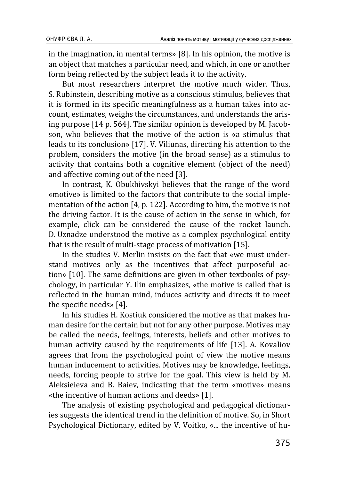in the imagination, in mental terms» [8]. In his opinion, the motive is an object that matches a particular need, and which, in one or another form being reflected by the subject leads it to the activity.

But most researchers interpret the motive much wider. Thus, S. Rubinstein, describing motive as a conscious stimulus, believes that it is formed in its specific meaningfulness as a human takes into account, estimates, weighs the circumstances, and understands the arising purpose [14 p. 564]. The similar opinion is developed by M. Jacobson, who believes that the motive of the action is «a stimulus that leads to its conclusion» [17]. V. Viliunas, directing his attention to the problem, considers the motive (in the broad sense) as a stimulus to activity that contains both a cognitive element (object of the need) and affective coming out of the need [3].

In contrast, K. Obukhivskyi believes that the range of the word «motive» is limited to the factors that contribute to the social implementation of the action [4, p. 122]. According to him, the motive is not the driving factor. It is the cause of action in the sense in which, for example, click can be considered the cause of the rocket launch. D. Uznadze understood the motive as a complex psychological entity that is the result of multi-stage process of motivation [15].

In the studies V. Merlin insists on the fact that «we must understand motives only as the incentives that affect purposeful action» [10]. The same definitions are given in other textbooks of psychology, in particular Y. Ilin emphasizes, «the motive is called that is reflected in the human mind, induces activity and directs it to meet the specific needs» [4].

In his studies H. Kostiuk considered the motive as that makes human desire for the certain but not for any other purpose. Motives may be called the needs, feelings, interests, beliefs and other motives to human activity caused by the requirements of life [13]. A. Kovaliov agrees that from the psychological point of view the motive means human inducement to activities. Motives may be knowledge, feelings, needs, forcing people to strive for the goal. This view is held by M. Aleksieieva and B. Baiev, indicating that the term «motive» means «the incentive of human actions and deeds» [1].

The analysis of existing psychological and pedagogical dictionaries suggests the identical trend in the definition of motive. So, in Short Psychological Dictionary, edited by V. Voitko, «... the incentive of hu-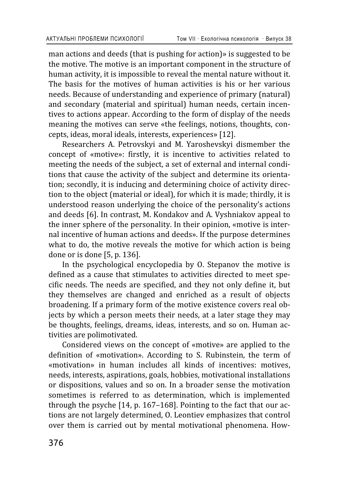man actions and deeds (that is pushing for action)» is suggested to be the motive. The motive is an important component in the structure of human activity, it is impossible to reveal the mental nature without it. The basis for the motives of human activities is his or her various needs. Because of understanding and experience of primary (natural) and secondary (material and spiritual) human needs, certain incentives to actions appear. According to the form of display of the needs meaning the motives can serve «the feelings, notions, thoughts, concepts, ideas, moral ideals, interests, experiences» [12].

Researchers A. Petrovskyi and M. Yaroshevskyi dismember the concept of «motive»: firstly, it is incentive to activities related to meeting the needs of the subject, a set of external and internal conditions that cause the activity of the subject and determine its orientation; secondly, it is inducing and determining choice of activity direction to the object (material or ideal), for which it is made; thirdly, it is understood reason underlying the choice of the personality's actions and deeds [6]. In contrast, M. Kondakov and A. Vyshniakov appeal to the inner sphere of the personality. In their opinion, «motive is internal incentive of human actions and deeds». If the purpose determines what to do, the motive reveals the motive for which action is being done or is done [5, p. 136].

In the psychological encyclopedia by O. Stepanov the motive is defined as a cause that stimulates to activities directed to meet specific needs. The needs are specified, and they not only define it, but they themselves are changed and enriched as a result of objects broadening. If a primary form of the motive existence covers real objects by which a person meets their needs, at a later stage they may be thoughts, feelings, dreams, ideas, interests, and so on. Human activities are polimotivated.

Considered views on the concept of «motive» are applied to the definition of «motivation». According to S. Rubinstein, the term of «motivation» in human includes all kinds of incentives: motives, needs, interests, aspirations, goals, hobbies, motivational installations or dispositions, values and so on. In a broader sense the motivation sometimes is referred to as determination, which is implemented through the psyche [14, p. 167-168]. Pointing to the fact that our actions are not largely determined, O. Leontiev emphasizes that control over them is carried out by mental motivational phenomena. How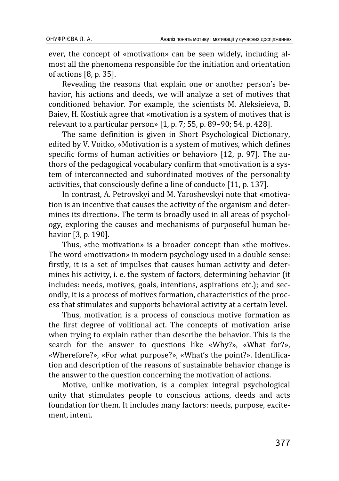ever, the concept of «motivation» can be seen widely, including almost all the phenomena responsible for the initiation and orientation of actions [8, p. 35].

Revealing the reasons that explain one or another person's behavior, his actions and deeds, we will analyze a set of motives that conditioned behavior. For example, the scientists M. Aleksiejeva, B. Baiev, H. Kostiuk agree that «motivation is a system of motives that is relevant to a particular person» [1, p. 7; 55, p. 89-90; 54, p. 428].

The same definition is given in Short Psychological Dictionary. edited by V. Voitko, «Motivation is a system of motives, which defines specific forms of human activities or behavior» [12, p. 97]. The authors of the pedagogical vocabulary confirm that «motivation is a system of interconnected and subordinated motives of the personality activities, that consciously define a line of conduct» [11, p. 137].

In contrast, A. Petrovskyi and M. Yaroshevskyi note that «motivation is an incentive that causes the activity of the organism and determines its direction». The term is broadly used in all areas of psychology, exploring the causes and mechanisms of purposeful human behavior [3, p. 190].

Thus, «the motivation» is a broader concept than «the motive». The word «motivation» in modern psychology used in a double sense: firstly, it is a set of impulses that causes human activity and determines his activity, i. e. the system of factors, determining behavior (it includes: needs, motives, goals, intentions, aspirations etc.); and secondly, it is a process of motives formation, characteristics of the process that stimulates and supports behavioral activity at a certain level.

Thus, motivation is a process of conscious motive formation as the first degree of volitional act. The concepts of motivation arise when trying to explain rather than describe the behavior. This is the search for the answer to questions like «Why?», «What for?», «Wherefore?», «For what purpose?», «What's the point?». Identification and description of the reasons of sustainable behavior change is the answer to the question concerning the motivation of actions.

Motive, unlike motivation, is a complex integral psychological unity that stimulates people to conscious actions, deeds and acts foundation for them. It includes many factors: needs, purpose, excitement, intent.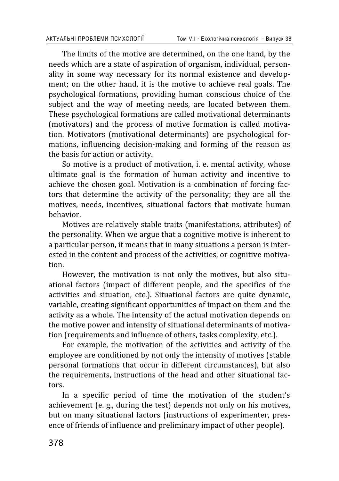The limits of the motive are determined, on the one hand, by the needs which are a state of aspiration of organism, individual, personality in some way necessary for its normal existence and development: on the other hand, it is the motive to achieve real goals. The psychological formations, providing human conscious choice of the subject and the way of meeting needs, are located between them. These psychological formations are called motivational determinants (motivators) and the process of motive formation is called motivation. Motivators (motivational determinants) are psychological formations, influencing decision-making and forming of the reason as the basis for action or activity.

So motive is a product of motivation, i. e. mental activity, whose ultimate goal is the formation of human activity and incentive to achieve the chosen goal. Motivation is a combination of forcing factors that determine the activity of the personality; they are all the motives, needs, incentives, situational factors that motivate human hehavior

Motives are relatively stable traits (manifestations, attributes) of the personality. When we argue that a cognitive motive is inherent to a particular person, it means that in many situations a person is interested in the content and process of the activities, or cognitive motivation.

However, the motivation is not only the motives, but also situational factors (impact of different people, and the specifics of the activities and situation, etc.). Situational factors are quite dynamic, variable, creating significant opportunities of impact on them and the activity as a whole. The intensity of the actual motivation depends on the motive power and intensity of situational determinants of motivation (requirements and influence of others, tasks complexity, etc.).

For example, the motivation of the activities and activity of the employee are conditioned by not only the intensity of motives (stable personal formations that occur in different circumstances), but also the requirements, instructions of the head and other situational factors.

In a specific period of time the motivation of the student's achievement (e.g., during the test) depends not only on his motives, but on many situational factors (instructions of experimenter, presence of friends of influence and preliminary impact of other people).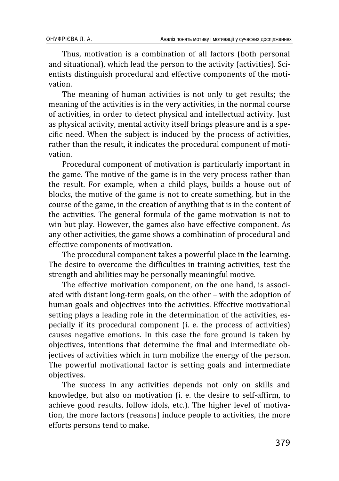Thus, motivation is a combination of all factors (both personal and situational), which lead the person to the activity (activities). Scientists distinguish procedural and effective components of the motivation

The meaning of human activities is not only to get results; the meaning of the activities is in the very activities, in the normal course of activities, in order to detect physical and intellectual activity. Just as physical activity, mental activity itself brings pleasure and is a specific need. When the subject is induced by the process of activities, rather than the result, it indicates the procedural component of motivation

Procedural component of motivation is particularly important in the game. The motive of the game is in the very process rather than the result. For example, when a child plays, builds a house out of blocks, the motive of the game is not to create something, but in the course of the game, in the creation of anything that is in the content of the activities. The general formula of the game motivation is not to win but play. However, the games also have effective component. As any other activities, the game shows a combination of procedural and effective components of motivation.

The procedural component takes a powerful place in the learning. The desire to overcome the difficulties in training activities, test the strength and abilities may be personally meaningful motive.

The effective motivation component, on the one hand, is associated with distant long-term goals, on the other - with the adoption of human goals and objectives into the activities. Effective motivational setting plays a leading role in the determination of the activities, especially if its procedural component (i. e. the process of activities) causes negative emotions. In this case the fore ground is taken by objectives, intentions that determine the final and intermediate objectives of activities which in turn mobilize the energy of the person. The powerful motivational factor is setting goals and intermediate objectives.

The success in any activities depends not only on skills and knowledge, but also on motivation (i. e. the desire to self-affirm, to achieve good results, follow idols, etc.). The higher level of motivation, the more factors (reasons) induce people to activities, the more efforts persons tend to make.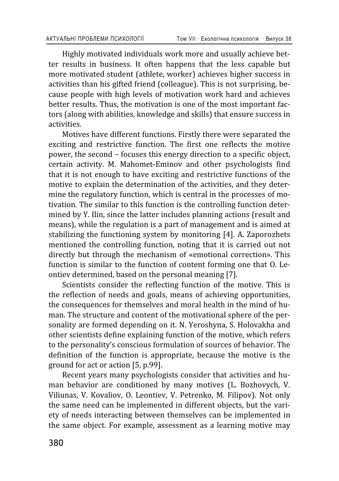Highly motivated individuals work more and usually achieve better results in business. It often happens that the less capable but more motivated student (athlete, worker) achieves higher success in activities than his gifted friend (colleague). This is not surprising, because people with high levels of motivation work hard and achieves better results. Thus, the motivation is one of the most important factors (along with abilities, knowledge and skills) that ensure success in activities.

Motives have different functions. Firstly there were separated the exciting and restrictive function. The first one reflects the motive power, the second – focuses this energy direction to a specific object, certain activity. M. Mahomet-Eminov and other psychologists find that it is not enough to have exciting and restrictive functions of the motive to explain the determination of the activities, and they determine the regulatory function, which is central in the processes of motivation. The similar to this function is the controlling function determined by Y. Ilin, since the latter includes planning actions (result and means), while the regulation is a part of management and is aimed at stabilizing the functioning system by monitoring [4]. A. Zaporozhets mentioned the controlling function, noting that it is carried out not directly but through the mechanism of «emotional correction». This function is similar to the function of content forming one that O. Leontiev determined, based on the personal meaning [7].

Scientists consider the reflecting function of the motive. This is the reflection of needs and goals, means of achieving opportunities, the consequences for themselves and moral health in the mind of human. The structure and content of the motivational sphere of the personality are formed depending on it. N. Yeroshyna, S. Holovakha and other scientists define explaining function of the motive, which refers to the personality's conscious formulation of sources of behavior. The definition of the function is appropriate, because the motive is the ground for act or action [5, p.99].

Recent years many psychologists consider that activities and human behavior are conditioned by many motives (L. Bozhovych, V. Viliunas, V. Kovaliov, O. Leontiev, V. Petrenko, M. Filipov). Not only the same need can be implemented in different objects, but the variety of needs interacting between themselves can be implemented in the same object. For example, assessment as a learning motive may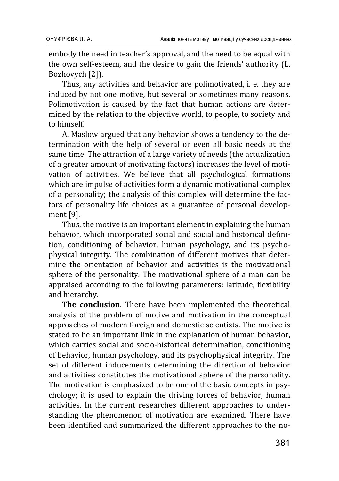embody the need in teacher's approval, and the need to be equal with the own self-esteem, and the desire to gain the friends' authority (L. Bozhovych [2]).

Thus, any activities and behavior are polimotivated, i. e. they are induced by not one motive, but several or sometimes many reasons. Polimotivation is caused by the fact that human actions are determined by the relation to the objective world, to people, to society and to himself.

A. Maslow argued that any behavior shows a tendency to the determination with the help of several or even all basic needs at the same time. The attraction of a large variety of needs (the actualization of a greater amount of motivating factors) increases the level of motivation of activities. We believe that all psychological formations which are impulse of activities form a dynamic motivational complex of a personality; the analysis of this complex will determine the factors of personality life choices as a guarantee of personal development [9].

Thus, the motive is an important element in explaining the human behavior, which incorporated social and social and historical definition, conditioning of behavior, human psychology, and its psychophysical integrity. The combination of different motives that determine the orientation of behavior and activities is the motivational sphere of the personality. The motivational sphere of a man can be appraised according to the following parameters: latitude, flexibility and hierarchy.

**The conclusion**. There have been implemented the theoretical analysis of the problem of motive and motivation in the conceptual approaches of modern foreign and domestic scientists. The motive is stated to be an important link in the explanation of human behavior, which carries social and socio-historical determination, conditioning of behavior, human psychology, and its psychophysical integrity. The set of different inducements determining the direction of behavior and activities constitutes the motivational sphere of the personality. The motivation is emphasized to be one of the basic concepts in psychology; it is used to explain the driving forces of behavior, human activities. In the current researches different approaches to understanding the phenomenon of motivation are examined. There have been identified and summarized the different approaches to the no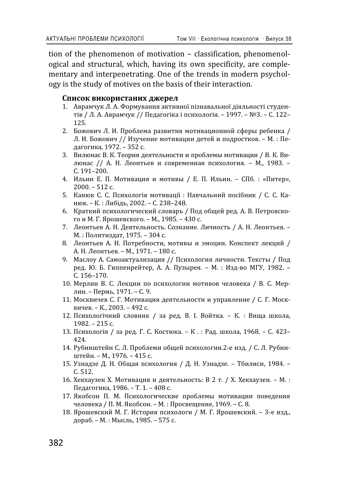tion of the phenomenon of motivation - classification, phenomenological and structural, which, having its own specificity, are complementary and interpenetrating. One of the trends in modern psychology is the study of motives on the basis of their interaction.

### Список використаних джерел

- 1. Аврамчук Л. А. Формування активної пізнавальної діяльності студентів / Л. А. Аврамчук // Педагогіка і психологія. - 1997. - №3. - С. 122-125.
- 2. Божович Л. И. Проблема развития мотивационной сферы ребенка / Л. И. Божович // Изучение мотивации детей и подростков. - М.: Педагогика, 1972. - 352 с.
- 3. Вилюнас В. К. Теория деятельности и проблемы мотивации / В. К. Вилюнас // А. Н. Леонтьев и современная психология. - М., 1983. - $C. 191 - 200.$
- 4. Ильин Е. П. Мотивация и мотивы / Е. П. Ильин. СПб. : «Питер»,  $2000 - 512$  c.
- 5. Канюк С. С. Психологія мотивації: Навчальний посібник / С. С. Канюк. - К.: Либідь, 2002. - С. 238-248.
- 6. Краткий психологический словарь / Под общей ред. А. В. Петровского и М. Г. Ярошевского. - М., 1985. - 430 с.
- 7. Леонтьев А. Н. Деятельность. Сознание. Личность / А. Н. Леонтьев. -М.: Политиздат, 1975. - 304 с.
- 8. Леонтьев А. Н. Потребности, мотивы и эмоции. Конспект лекций / А. Н. Леонтьев. - М., 1971. - 180 с.
- 9. Маслоу А. Самоактуализация // Психология личности. Тексты / Под ред. Ю. Б. Гиппенрейтер, А. А. Пузырея. - М. : Изд-во МГУ, 1982. -C. 156-170.
- 10. Мерлин В. С. Лекции по психологии мотивов человека / В. С. Мерлин. – Пермь, 1971. – С. 9.
- 11. Москвичев С. Г. Мотивация деятельности и управление / С. Г. Москвичев. - К., 2003. - 492 с.
- 12. Психологічний словник / за ред. В. І. Войтка. К. : Вища школа,  $1982 - 215$  c.
- 13. Психологія / за ред. Г. С. Костюка. К.: Рад. школа, 1968. С. 423-424.
- 14. Рубинштейн С. Л. Проблеми общей психологии.2-е изд. / С. Л. Рубинштейн. - М., 1976. - 415 с.
- 15. Узнадзе Д. Н. Общая психология / Д. Н. Узнадзе. Тбилиси, 1984. - $C.512.$
- 16. Хекхаузен Х. Мотивация и деятельность: В 2 т. / Х. Хекхаузен. М.: Педагогика, 1986. - Т. 1. - 408 с.
- 17. Якобсон П. М. Психологические проблемы мотивации поведения человека / П. М. Якобсон. - М. : Просвещение, 1969. - С. 8.
- 18. Ярошевский М. Г. История психологи / М. Г. Ярошевский. 3-е изд., дораб. - М.: Мысль, 1985. - 575 с.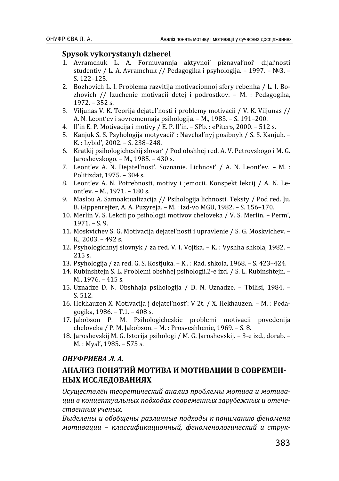## **Spysok vykorystanyh dzherel**

- 1. Avramchuk L. A. Formuvannja aktyvnoi' piznaval'noi' dijal'nosti studentiv / L. A. Avramchuk // Pedagogika i psvhologija. - 1997. - №3. -S. 122-125.
- 2. Bozhovich L. I. Problema razvitija motivacionnoj sfery rebenka / L. I. Bozhovich // Izuchenie motivacii detej i podrostkov. - M. : Pedagogika,  $1972 - 352$  s.
- 3. Viljunas V. K. Teorija dejateľnosti i problemy motivacii / V. K. Viljunas // A. N. Leont'ev i sovremennaja psihologija. - M., 1983. - S. 191-200.
- 4. Il'in E. P. Motivacija i motivy / E. P. Il'in. SPb. : «Piter», 2000. 512 s.
- 5. Kanjuk S. S. Psyhologija motyvacij' : Navchal'nyi posibnyk / S. S. Kanjuk. -K.: Lybid', 2002. - S. 238-248.
- 6. Kratkij psihologicheskij slovar' / Pod obshhej red. A. V. Petrovskogo i M. G. Jaroshevskogo.  $- M$ ., 1985.  $- 430$  s.
- 7. Leont'ev A. N. Dejatel'nost'. Soznanie. Lichnost' / A. N. Leont'ev. M. : Politizdat, 1975. - 304 s.
- 8. Leont'ev A. N. Potrebnosti, motivy i jemocii. Konspekt lekcij / A. N. Leont'ev. - M., 1971. - 180 s.
- 9. Maslou A. Samoaktualizacija // Psihologija lichnosti. Teksty / Pod red. Ju. B. Gippenrejter, A. A. Puzyreja. – M. : Izd-vo MGU, 1982. – S. 156–170.
- 10. Merlin V. S. Lekcii po psihologii motivov cheloveka / V. S. Merlin. Perm',  $1971 - S.9.$
- 11. Moskvichev S. G. Motivacija dejateľ nosti i upravlenie / S. G. Moskvichev.  $K_{1}$ , 2003. - 492 s.
- 12. Psyhologichnyj slovnyk / za red. V. I. Vojtka. K. : Vyshha shkola, 1982. - $215 s.$
- 13. Psyhologija / za red. G. S. Kostjuka. K . : Rad. shkola, 1968. S. 423–424.
- 14. Rubinshtejn S. L. Problemi obshhej psihologii.2-e izd. / S. L. Rubinshtejn. - $M<sub>n</sub>$ , 1976. – 415 s.
- 15. Uznadze D. N. Obshhaja psihologija / D. N. Uznadze. Tbilisi, 1984. - $S.512.$
- 16. Hekhauzen X. Motivacija j dejateľnosť: V 2t. / X. Hekhauzen. M.: Pedagogika, 1986. - T.1. -  $408$  s.
- 17. Jakobson P. M. Psihologicheskie problemi motivacii povedenija cheloveka / P. M. Jakobson. - M. : Prosveshhenie, 1969. - S. 8.
- 18. Jaroshevskij M. G. Istorija psihologi / M. G. Jaroshevskij. 3-e izd., dorab. M.: Mysl', 1985. - 575 s.

## **ОНУФРИЕВА Л. А.**

# АНАЛИЗ ПОНЯТИЙ МОТИВА И МОТИВАЦИИ В СОВРЕМЕН-НЫХ ИССЛЕДОВАНИЯХ

*ʝ˔˖˜ˈ˔˕˅ˎ˩ː ˕ˈˑ˓ˈ˕ˋ˚ˈ˔ˍˋˌ ˃ː˃ˎˋˊ ˒˓ˑ˄ˎˈˏ˞ ˏˑ˕ˋ˅˃ ˋ ˏˑ˕ˋ˅˃- ˙ˋˋ ˅ ˍˑː˙ˈ˒˕˖˃ˎ˟ː˞˘ ˒ˑˇ˘ˑˇ˃˘ ˔ˑ˅˓ˈˏˈːː˞˘ ˊ˃˓˖˄ˈˉː˞˘ ˋ ˑ˕ˈ˚ˈ* ственных ученых.

Выделены и обобщены различные подходы к пониманию феномена  $M$ отивации - классификационный, феноменологический и струк-